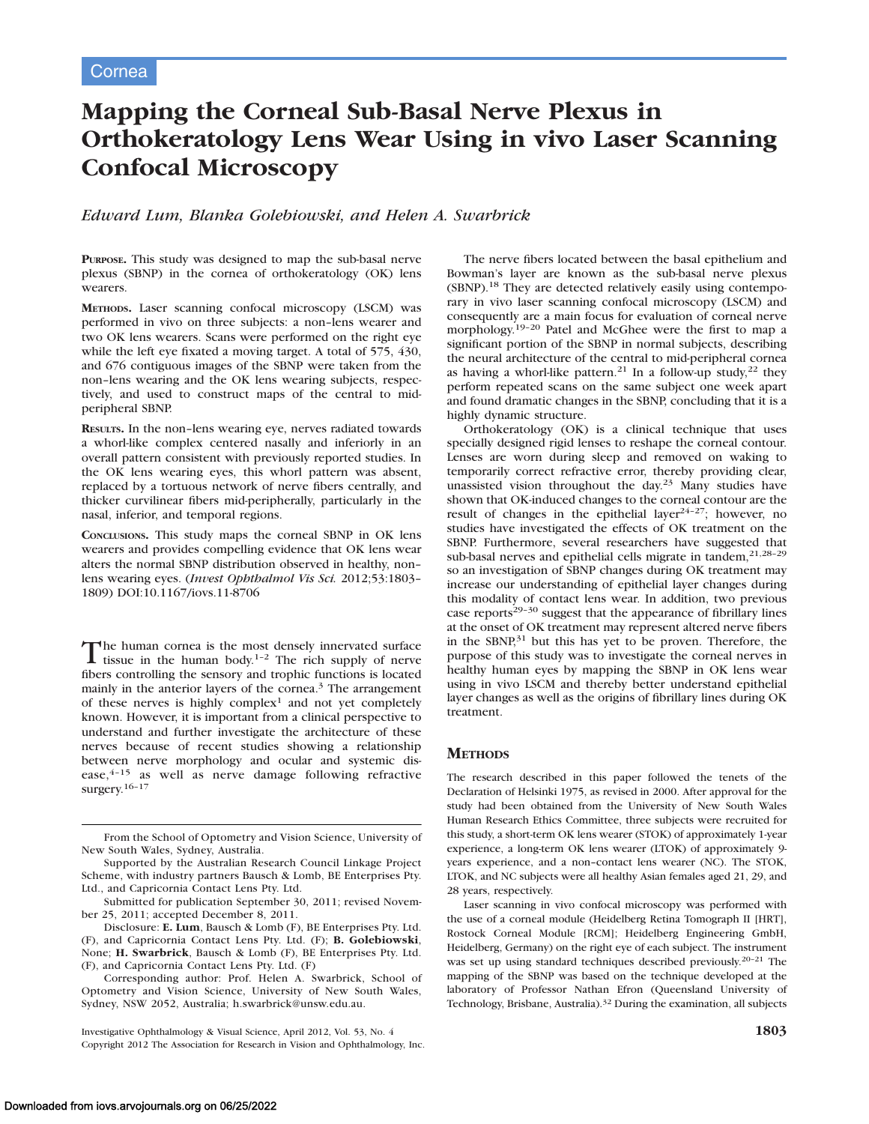# Mapping the Corneal Sub-Basal Nerve Plexus in Orthokeratology Lens Wear Using in vivo Laser Scanning Confocal Microscopy

Edward Lum, Blanka Golebiowski, and Helen A. Swarbrick

PURPOSE. This study was designed to map the sub-basal nerve plexus (SBNP) in the cornea of orthokeratology (OK) lens wearers.

METHODS. Laser scanning confocal microscopy (LSCM) was performed in vivo on three subjects: a non–lens wearer and two OK lens wearers. Scans were performed on the right eye while the left eye fixated a moving target. A total of 575, 430, and 676 contiguous images of the SBNP were taken from the non–lens wearing and the OK lens wearing subjects, respectively, and used to construct maps of the central to midperipheral SBNP.

RESULTS. In the non–lens wearing eye, nerves radiated towards a whorl-like complex centered nasally and inferiorly in an overall pattern consistent with previously reported studies. In the OK lens wearing eyes, this whorl pattern was absent, replaced by a tortuous network of nerve fibers centrally, and thicker curvilinear fibers mid-peripherally, particularly in the nasal, inferior, and temporal regions.

CONCLUSIONS. This study maps the corneal SBNP in OK lens wearers and provides compelling evidence that OK lens wear alters the normal SBNP distribution observed in healthy, non– lens wearing eyes. (Invest Ophthalmol Vis Sci. 2012;53:1803– 1809) DOI:10.1167/iovs.11-8706

The human cornea is the most densely innervated surface tissue in the human body.<sup>1-2</sup> The rich supply of nerve fibers controlling the sensory and trophic functions is located mainly in the anterior layers of the cornea.<sup>3</sup> The arrangement of these nerves is highly complex<sup>1</sup> and not yet completely known. However, it is important from a clinical perspective to understand and further investigate the architecture of these nerves because of recent studies showing a relationship between nerve morphology and ocular and systemic disease, $4-15$  as well as nerve damage following refractive surgery.16–17

Corresponding author: Prof. Helen A. Swarbrick, School of Optometry and Vision Science, University of New South Wales, Sydney, NSW 2052, Australia; h.swarbrick@unsw.edu.au.

The nerve fibers located between the basal epithelium and Bowman's layer are known as the sub-basal nerve plexus (SBNP).<sup>18</sup> They are detected relatively easily using contemporary in vivo laser scanning confocal microscopy (LSCM) and consequently are a main focus for evaluation of corneal nerve morphology.19–20 Patel and McGhee were the first to map a significant portion of the SBNP in normal subjects, describing the neural architecture of the central to mid-peripheral cornea as having a whorl-like pattern.<sup>21</sup> In a follow-up study,<sup>22</sup> they perform repeated scans on the same subject one week apart and found dramatic changes in the SBNP, concluding that it is a highly dynamic structure.

Orthokeratology (OK) is a clinical technique that uses specially designed rigid lenses to reshape the corneal contour. Lenses are worn during sleep and removed on waking to temporarily correct refractive error, thereby providing clear, unassisted vision throughout the day.23 Many studies have shown that OK-induced changes to the corneal contour are the result of changes in the epithelial layer<sup>24-27</sup>; however, no studies have investigated the effects of OK treatment on the SBNP. Furthermore, several researchers have suggested that sub-basal nerves and epithelial cells migrate in tandem, $21,28-29$ so an investigation of SBNP changes during OK treatment may increase our understanding of epithelial layer changes during this modality of contact lens wear. In addition, two previous case reports<sup>29-30</sup> suggest that the appearance of fibrillary lines at the onset of OK treatment may represent altered nerve fibers in the SBNP,<sup>31</sup> but this has yet to be proven. Therefore, the purpose of this study was to investigate the corneal nerves in healthy human eyes by mapping the SBNP in OK lens wear using in vivo LSCM and thereby better understand epithelial layer changes as well as the origins of fibrillary lines during OK treatment.

# **METHODS**

The research described in this paper followed the tenets of the Declaration of Helsinki 1975, as revised in 2000. After approval for the study had been obtained from the University of New South Wales Human Research Ethics Committee, three subjects were recruited for this study, a short-term OK lens wearer (STOK) of approximately 1-year experience, a long-term OK lens wearer (LTOK) of approximately 9 years experience, and a non–contact lens wearer (NC). The STOK, LTOK, and NC subjects were all healthy Asian females aged 21, 29, and 28 years, respectively.

Laser scanning in vivo confocal microscopy was performed with the use of a corneal module (Heidelberg Retina Tomograph II [HRT], Rostock Corneal Module [RCM]; Heidelberg Engineering GmbH, Heidelberg, Germany) on the right eye of each subject. The instrument was set up using standard techniques described previously.<sup>20-21</sup> The mapping of the SBNP was based on the technique developed at the laboratory of Professor Nathan Efron (Queensland University of Technology, Brisbane, Australia).32 During the examination, all subjects

From the School of Optometry and Vision Science, University of New South Wales, Sydney, Australia.

Supported by the Australian Research Council Linkage Project Scheme, with industry partners Bausch & Lomb, BE Enterprises Pty. Ltd., and Capricornia Contact Lens Pty. Ltd.

Submitted for publication September 30, 2011; revised November 25, 2011; accepted December 8, 2011.

Disclosure: E. Lum, Bausch & Lomb (F), BE Enterprises Pty. Ltd. (F), and Capricornia Contact Lens Pty. Ltd. (F); B. Golebiowski, None; H. Swarbrick, Bausch & Lomb (F), BE Enterprises Pty. Ltd. (F), and Capricornia Contact Lens Pty. Ltd. (F)

Investigative Ophthalmology & Visual Science, April 2012, Vol. 53, No. 4 1803 Copyright 2012 The Association for Research in Vision and Ophthalmology, Inc.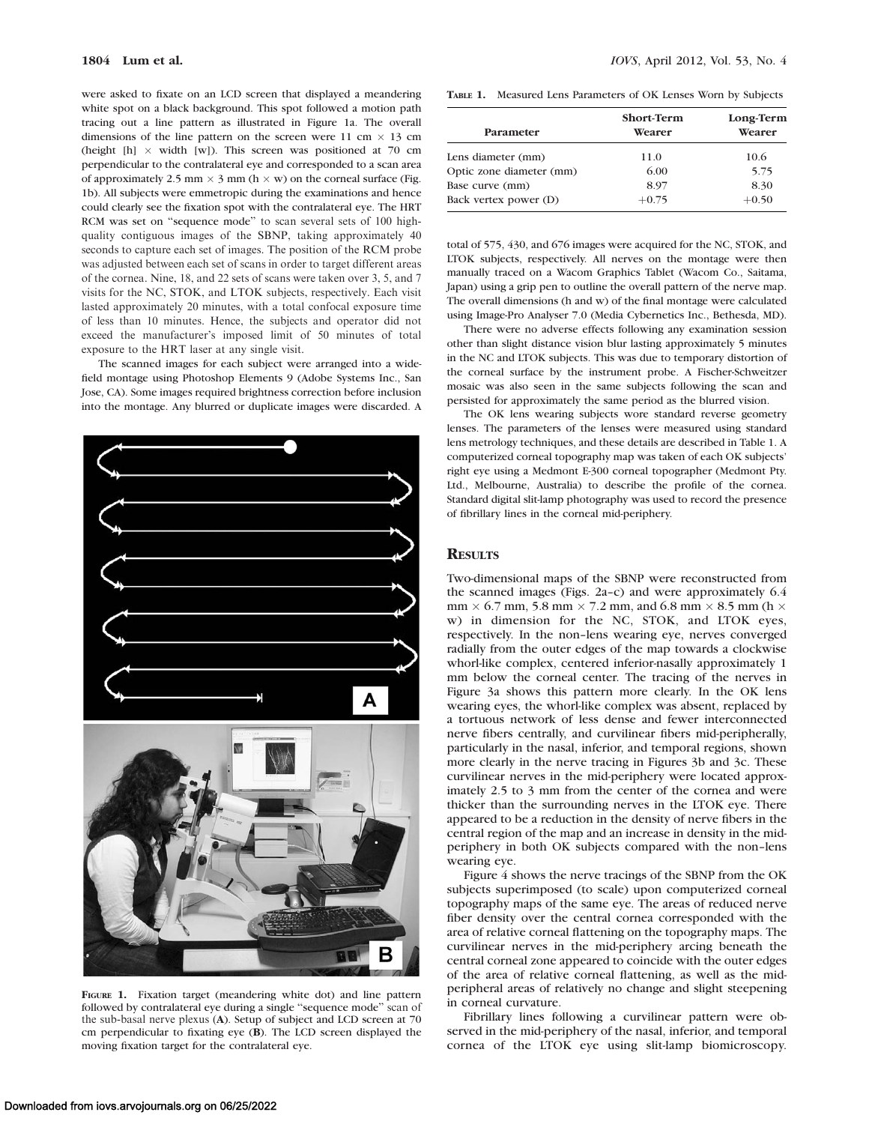were asked to fixate on an LCD screen that displayed a meandering white spot on a black background. This spot followed a motion path tracing out a line pattern as illustrated in Figure 1a. The overall dimensions of the line pattern on the screen were 11 cm  $\times$  13 cm (height  $[h] \times$  width  $[w]$ ). This screen was positioned at 70 cm perpendicular to the contralateral eye and corresponded to a scan area of approximately 2.5 mm  $\times$  3 mm (h  $\times$  w) on the corneal surface (Fig. 1b). All subjects were emmetropic during the examinations and hence could clearly see the fixation spot with the contralateral eye. The HRT RCM was set on ''sequence mode'' to scan several sets of 100 highquality contiguous images of the SBNP, taking approximately 40 seconds to capture each set of images. The position of the RCM probe was adjusted between each set of scans in order to target different areas of the cornea. Nine, 18, and 22 sets of scans were taken over 3, 5, and 7 visits for the NC, STOK, and LTOK subjects, respectively. Each visit lasted approximately 20 minutes, with a total confocal exposure time of less than 10 minutes. Hence, the subjects and operator did not exceed the manufacturer's imposed limit of 50 minutes of total exposure to the HRT laser at any single visit.

The scanned images for each subject were arranged into a widefield montage using Photoshop Elements 9 (Adobe Systems Inc., San Jose, CA). Some images required brightness correction before inclusion into the montage. Any blurred or duplicate images were discarded. A



FIGURE 1. Fixation target (meandering white dot) and line pattern followed by contralateral eye during a single ''sequence mode'' scan of the sub-basal nerve plexus (A). Setup of subject and LCD screen at 70 cm perpendicular to fixating eye (B). The LCD screen displayed the moving fixation target for the contralateral eye.

TABLE 1. Measured Lens Parameters of OK Lenses Worn by Subjects

| Parameter                | <b>Short-Term</b><br>Wearer | Long-Term<br>Wearer |
|--------------------------|-----------------------------|---------------------|
| Lens diameter (mm)       | 11.0                        | 10.6                |
| Optic zone diameter (mm) | 6.00                        | 5.75                |
| Base curve (mm)          | 8.97                        | 8.30                |
| Back vertex power (D)    | $+0.75$                     | $+0.50$             |

total of 575, 430, and 676 images were acquired for the NC, STOK, and LTOK subjects, respectively. All nerves on the montage were then manually traced on a Wacom Graphics Tablet (Wacom Co., Saitama, Japan) using a grip pen to outline the overall pattern of the nerve map. The overall dimensions (h and w) of the final montage were calculated using Image-Pro Analyser 7.0 (Media Cybernetics Inc., Bethesda, MD).

There were no adverse effects following any examination session other than slight distance vision blur lasting approximately 5 minutes in the NC and LTOK subjects. This was due to temporary distortion of the corneal surface by the instrument probe. A Fischer-Schweitzer mosaic was also seen in the same subjects following the scan and persisted for approximately the same period as the blurred vision.

The OK lens wearing subjects wore standard reverse geometry lenses. The parameters of the lenses were measured using standard lens metrology techniques, and these details are described in Table 1. A computerized corneal topography map was taken of each OK subjects' right eye using a Medmont E-300 corneal topographer (Medmont Pty. Ltd., Melbourne, Australia) to describe the profile of the cornea. Standard digital slit-lamp photography was used to record the presence of fibrillary lines in the corneal mid-periphery.

## **RESULTS**

Two-dimensional maps of the SBNP were reconstructed from the scanned images (Figs. 2a–c) and were approximately 6.4  $mm \times 6.7$  mm, 5.8 mm  $\times$  7.2 mm, and 6.8 mm  $\times$  8.5 mm (h  $\times$ w) in dimension for the NC, STOK, and LTOK eyes, respectively. In the non–lens wearing eye, nerves converged radially from the outer edges of the map towards a clockwise whorl-like complex, centered inferior-nasally approximately 1 mm below the corneal center. The tracing of the nerves in Figure 3a shows this pattern more clearly. In the OK lens wearing eyes, the whorl-like complex was absent, replaced by a tortuous network of less dense and fewer interconnected nerve fibers centrally, and curvilinear fibers mid-peripherally, particularly in the nasal, inferior, and temporal regions, shown more clearly in the nerve tracing in Figures 3b and 3c. These curvilinear nerves in the mid-periphery were located approximately 2.5 to 3 mm from the center of the cornea and were thicker than the surrounding nerves in the LTOK eye. There appeared to be a reduction in the density of nerve fibers in the central region of the map and an increase in density in the midperiphery in both OK subjects compared with the non–lens wearing eye.

Figure 4 shows the nerve tracings of the SBNP from the OK subjects superimposed (to scale) upon computerized corneal topography maps of the same eye. The areas of reduced nerve fiber density over the central cornea corresponded with the area of relative corneal flattening on the topography maps. The curvilinear nerves in the mid-periphery arcing beneath the central corneal zone appeared to coincide with the outer edges of the area of relative corneal flattening, as well as the midperipheral areas of relatively no change and slight steepening in corneal curvature.

Fibrillary lines following a curvilinear pattern were observed in the mid-periphery of the nasal, inferior, and temporal cornea of the LTOK eye using slit-lamp biomicroscopy.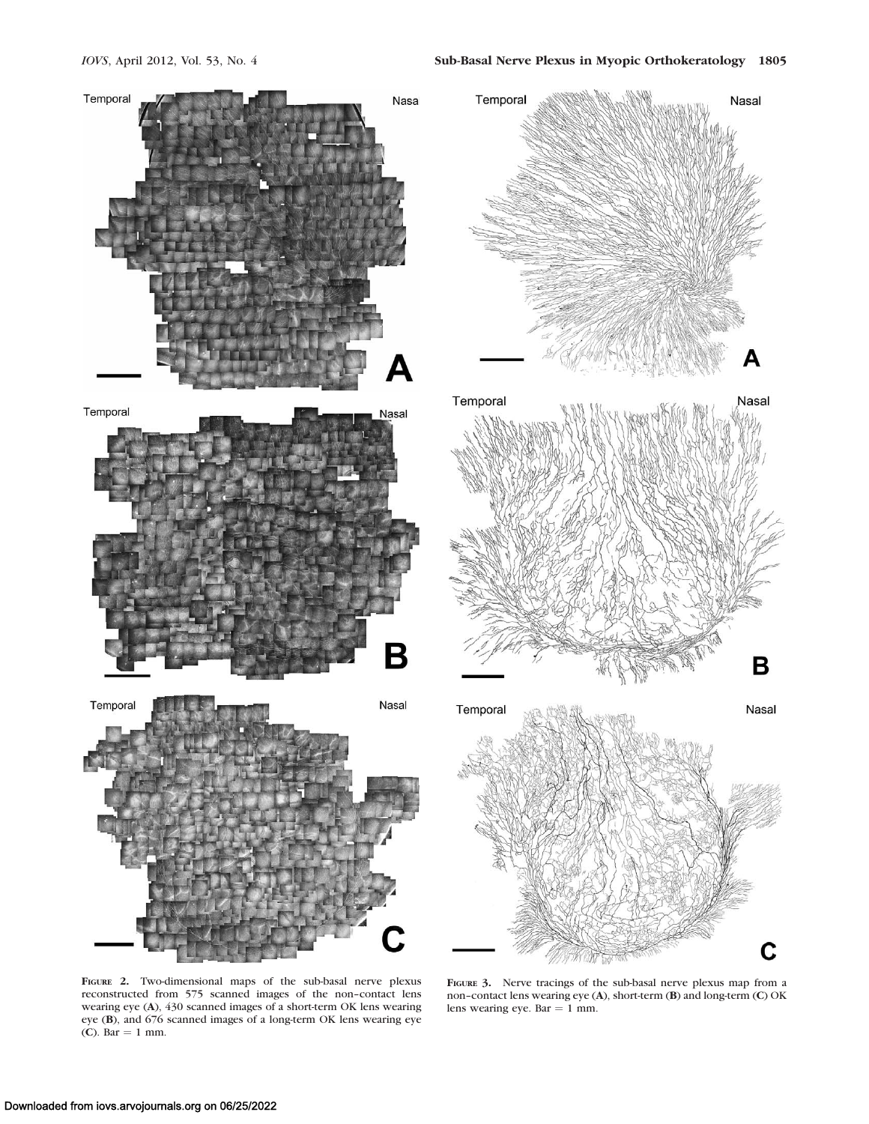

FIGURE 2. Two-dimensional maps of the sub-basal nerve plexus reconstructed from 575 scanned images of the non–contact lens wearing eye (A), 430 scanned images of a short-term OK lens wearing eye (B), and 676 scanned images of a long-term OK lens wearing eye  $(C)$ . Bar = 1 mm.

FIGURE 3. Nerve tracings of the sub-basal nerve plexus map from a non–contact lens wearing eye (A), short-term (B) and long-term (C) OK lens wearing eye. Bar  $= 1$  mm.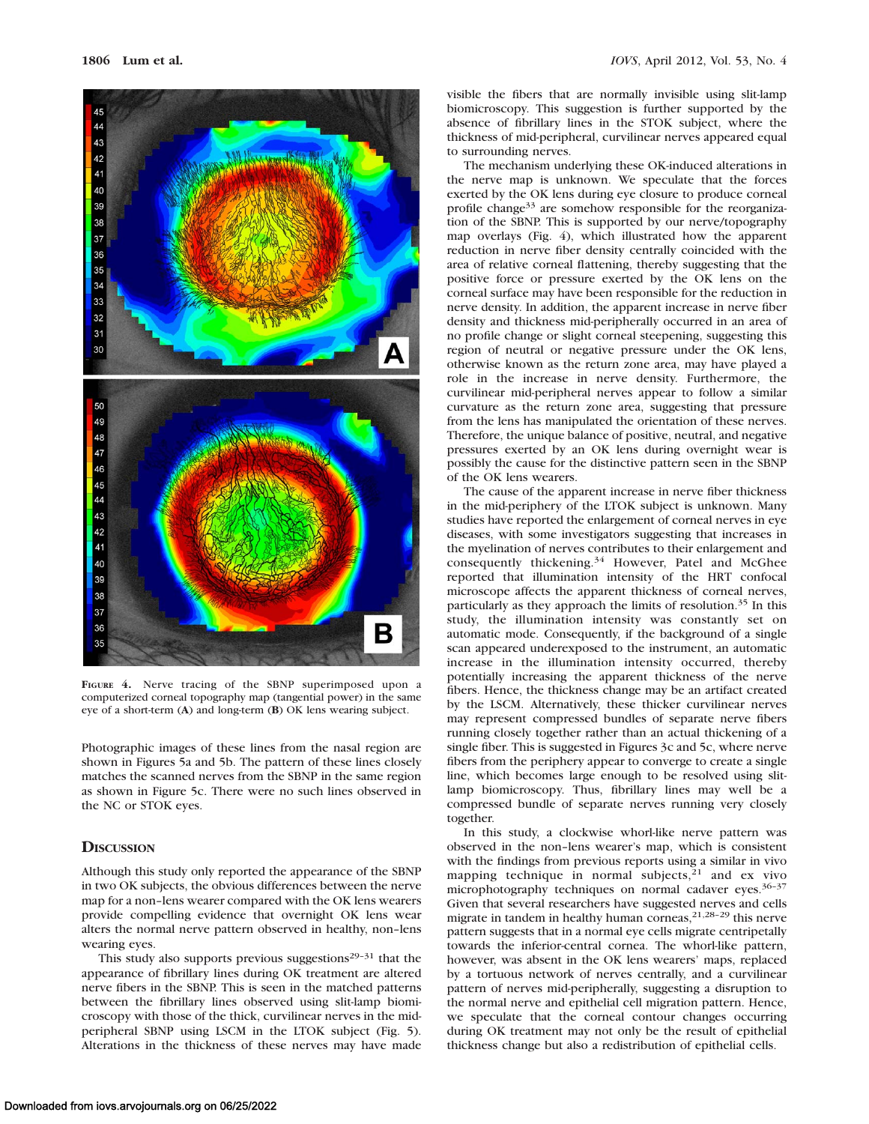

FIGURE 4. Nerve tracing of the SBNP superimposed upon a computerized corneal topography map (tangential power) in the same eye of a short-term (A) and long-term (B) OK lens wearing subject.

Photographic images of these lines from the nasal region are shown in Figures 5a and 5b. The pattern of these lines closely matches the scanned nerves from the SBNP in the same region as shown in Figure 5c. There were no such lines observed in the NC or STOK eyes.

## **DISCUSSION**

Although this study only reported the appearance of the SBNP in two OK subjects, the obvious differences between the nerve map for a non–lens wearer compared with the OK lens wearers provide compelling evidence that overnight OK lens wear alters the normal nerve pattern observed in healthy, non–lens wearing eyes.

This study also supports previous suggestions $29-31$  that the appearance of fibrillary lines during OK treatment are altered nerve fibers in the SBNP. This is seen in the matched patterns between the fibrillary lines observed using slit-lamp biomicroscopy with those of the thick, curvilinear nerves in the midperipheral SBNP using LSCM in the LTOK subject (Fig. 5). Alterations in the thickness of these nerves may have made

visible the fibers that are normally invisible using slit-lamp biomicroscopy. This suggestion is further supported by the absence of fibrillary lines in the STOK subject, where the thickness of mid-peripheral, curvilinear nerves appeared equal to surrounding nerves.

The mechanism underlying these OK-induced alterations in the nerve map is unknown. We speculate that the forces exerted by the OK lens during eye closure to produce corneal profile change<sup>33</sup> are somehow responsible for the reorganization of the SBNP. This is supported by our nerve/topography map overlays (Fig. 4), which illustrated how the apparent reduction in nerve fiber density centrally coincided with the area of relative corneal flattening, thereby suggesting that the positive force or pressure exerted by the OK lens on the corneal surface may have been responsible for the reduction in nerve density. In addition, the apparent increase in nerve fiber density and thickness mid-peripherally occurred in an area of no profile change or slight corneal steepening, suggesting this region of neutral or negative pressure under the OK lens, otherwise known as the return zone area, may have played a role in the increase in nerve density. Furthermore, the curvilinear mid-peripheral nerves appear to follow a similar curvature as the return zone area, suggesting that pressure from the lens has manipulated the orientation of these nerves. Therefore, the unique balance of positive, neutral, and negative pressures exerted by an OK lens during overnight wear is possibly the cause for the distinctive pattern seen in the SBNP of the OK lens wearers.

The cause of the apparent increase in nerve fiber thickness in the mid-periphery of the LTOK subject is unknown. Many studies have reported the enlargement of corneal nerves in eye diseases, with some investigators suggesting that increases in the myelination of nerves contributes to their enlargement and consequently thickening.<sup>34</sup> However, Patel and McGhee reported that illumination intensity of the HRT confocal microscope affects the apparent thickness of corneal nerves, particularly as they approach the limits of resolution.<sup>35</sup> In this study, the illumination intensity was constantly set on automatic mode. Consequently, if the background of a single scan appeared underexposed to the instrument, an automatic increase in the illumination intensity occurred, thereby potentially increasing the apparent thickness of the nerve fibers. Hence, the thickness change may be an artifact created by the LSCM. Alternatively, these thicker curvilinear nerves may represent compressed bundles of separate nerve fibers running closely together rather than an actual thickening of a single fiber. This is suggested in Figures 3c and 5c, where nerve fibers from the periphery appear to converge to create a single line, which becomes large enough to be resolved using slitlamp biomicroscopy. Thus, fibrillary lines may well be a compressed bundle of separate nerves running very closely together.

In this study, a clockwise whorl-like nerve pattern was observed in the non–lens wearer's map, which is consistent with the findings from previous reports using a similar in vivo mapping technique in normal subjects, $z<sup>21</sup>$  and ex vivo microphotography techniques on normal cadaver eyes.36–37 Given that several researchers have suggested nerves and cells migrate in tandem in healthy human corneas,  $21,28-29$  this nerve pattern suggests that in a normal eye cells migrate centripetally towards the inferior-central cornea. The whorl-like pattern, however, was absent in the OK lens wearers' maps, replaced by a tortuous network of nerves centrally, and a curvilinear pattern of nerves mid-peripherally, suggesting a disruption to the normal nerve and epithelial cell migration pattern. Hence, we speculate that the corneal contour changes occurring during OK treatment may not only be the result of epithelial thickness change but also a redistribution of epithelial cells.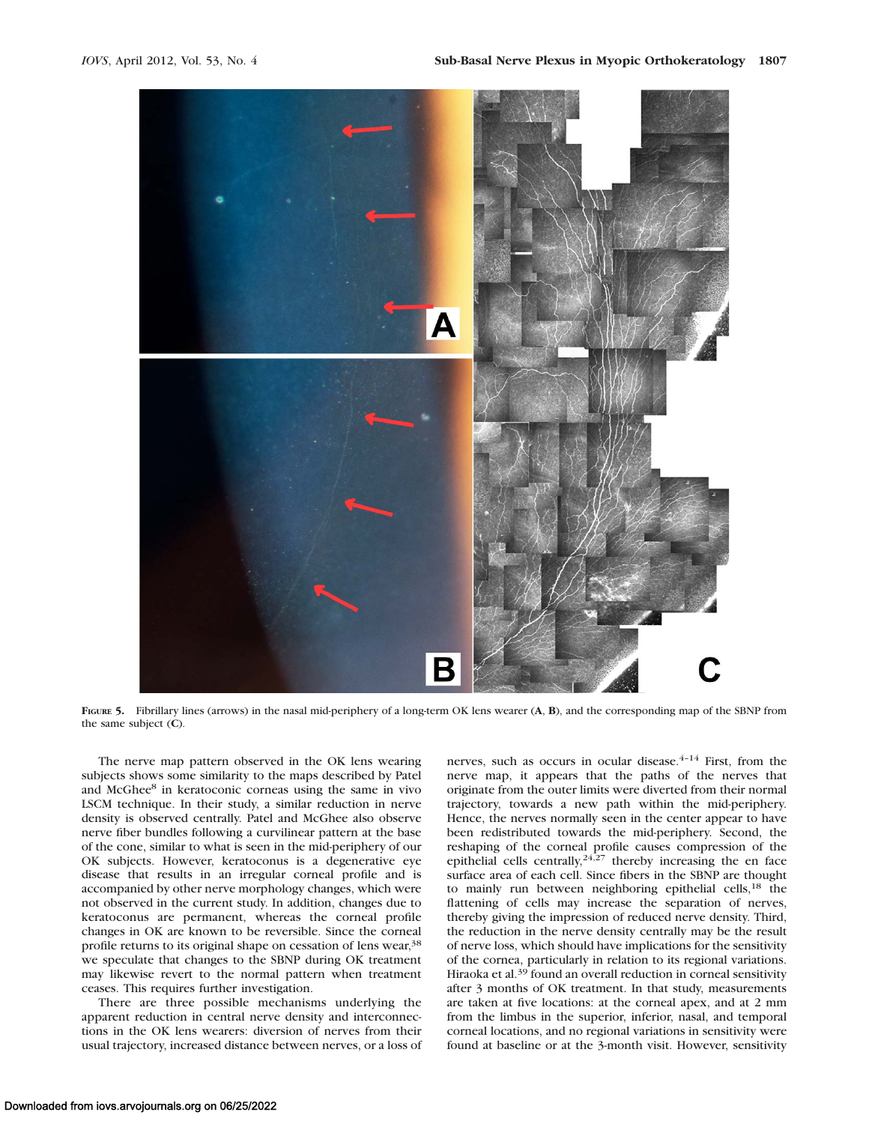

FIGURE 5. Fibrillary lines (arrows) in the nasal mid-periphery of a long-term OK lens wearer (A, B), and the corresponding map of the SBNP from the same subject (C).

The nerve map pattern observed in the OK lens wearing subjects shows some similarity to the maps described by Patel and McGhee<sup>8</sup> in keratoconic corneas using the same in vivo LSCM technique. In their study, a similar reduction in nerve density is observed centrally. Patel and McGhee also observe nerve fiber bundles following a curvilinear pattern at the base of the cone, similar to what is seen in the mid-periphery of our OK subjects. However, keratoconus is a degenerative eye disease that results in an irregular corneal profile and is accompanied by other nerve morphology changes, which were not observed in the current study. In addition, changes due to keratoconus are permanent, whereas the corneal profile changes in OK are known to be reversible. Since the corneal profile returns to its original shape on cessation of lens wear,<sup>38</sup> we speculate that changes to the SBNP during OK treatment may likewise revert to the normal pattern when treatment ceases. This requires further investigation.

There are three possible mechanisms underlying the apparent reduction in central nerve density and interconnections in the OK lens wearers: diversion of nerves from their usual trajectory, increased distance between nerves, or a loss of nerves, such as occurs in ocular disease. $4-14$  First, from the nerve map, it appears that the paths of the nerves that originate from the outer limits were diverted from their normal trajectory, towards a new path within the mid-periphery. Hence, the nerves normally seen in the center appear to have been redistributed towards the mid-periphery. Second, the reshaping of the corneal profile causes compression of the epithelial cells centrally,  $24.27$  thereby increasing the en face surface area of each cell. Since fibers in the SBNP are thought to mainly run between neighboring epithelial cells,<sup>18</sup> the flattening of cells may increase the separation of nerves, thereby giving the impression of reduced nerve density. Third, the reduction in the nerve density centrally may be the result of nerve loss, which should have implications for the sensitivity of the cornea, particularly in relation to its regional variations. Hiraoka et al.<sup>39</sup> found an overall reduction in corneal sensitivity after 3 months of OK treatment. In that study, measurements are taken at five locations: at the corneal apex, and at 2 mm from the limbus in the superior, inferior, nasal, and temporal corneal locations, and no regional variations in sensitivity were found at baseline or at the 3-month visit. However, sensitivity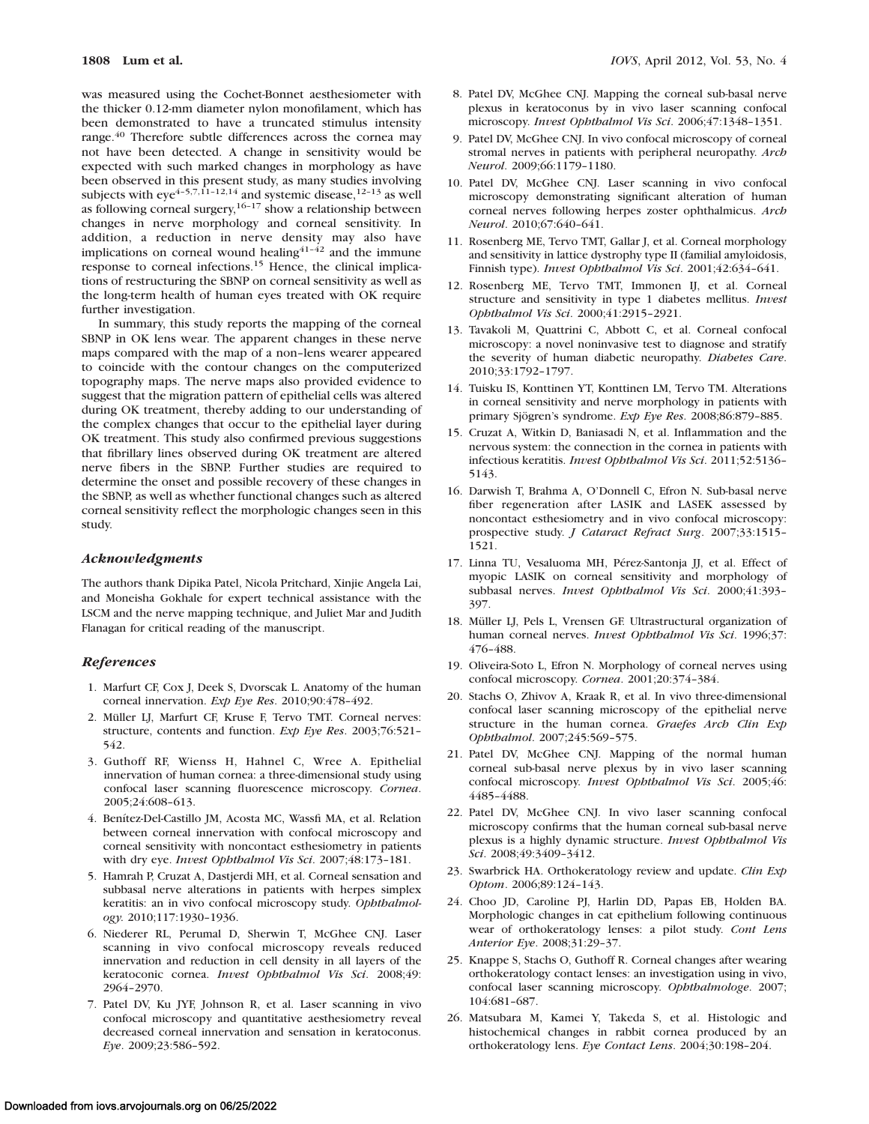was measured using the Cochet-Bonnet aesthesiometer with the thicker 0.12-mm diameter nylon monofilament, which has been demonstrated to have a truncated stimulus intensity range.<sup>40</sup> Therefore subtle differences across the cornea may not have been detected. A change in sensitivity would be expected with such marked changes in morphology as have been observed in this present study, as many studies involving subjects with eye<sup>4-5,7,11-12,14</sup> and systemic disease,<sup>12-13</sup> as well as following corneal surgery,  $16-17$  show a relationship between changes in nerve morphology and corneal sensitivity. In addition, a reduction in nerve density may also have implications on corneal wound healing<sup>41-42</sup> and the immune response to corneal infections.<sup>15</sup> Hence, the clinical implications of restructuring the SBNP on corneal sensitivity as well as the long-term health of human eyes treated with OK require further investigation.

In summary, this study reports the mapping of the corneal SBNP in OK lens wear. The apparent changes in these nerve maps compared with the map of a non–lens wearer appeared to coincide with the contour changes on the computerized topography maps. The nerve maps also provided evidence to suggest that the migration pattern of epithelial cells was altered during OK treatment, thereby adding to our understanding of the complex changes that occur to the epithelial layer during OK treatment. This study also confirmed previous suggestions that fibrillary lines observed during OK treatment are altered nerve fibers in the SBNP. Further studies are required to determine the onset and possible recovery of these changes in the SBNP, as well as whether functional changes such as altered corneal sensitivity reflect the morphologic changes seen in this study.

#### Acknowledgments

The authors thank Dipika Patel, Nicola Pritchard, Xinjie Angela Lai, and Moneisha Gokhale for expert technical assistance with the LSCM and the nerve mapping technique, and Juliet Mar and Judith Flanagan for critical reading of the manuscript.

#### **References**

- 1. Marfurt CF, Cox J, Deek S, Dvorscak L. Anatomy of the human corneal innervation. Exp Eye Res. 2010;90:478–492.
- 2. Müller LJ, Marfurt CF, Kruse F, Tervo TMT. Corneal nerves: structure, contents and function. Exp Eye Res. 2003;76:521– 542.
- 3. Guthoff RF, Wienss H, Hahnel C, Wree A. Epithelial innervation of human cornea: a three-dimensional study using confocal laser scanning fluorescence microscopy. Cornea. 2005;24:608–613.
- 4. Benítez-Del-Castillo JM, Acosta MC, Wassfi MA, et al. Relation between corneal innervation with confocal microscopy and corneal sensitivity with noncontact esthesiometry in patients with dry eye. Invest Ophthalmol Vis Sci. 2007;48:173–181.
- 5. Hamrah P, Cruzat A, Dastjerdi MH, et al. Corneal sensation and subbasal nerve alterations in patients with herpes simplex keratitis: an in vivo confocal microscopy study. Ophthalmology. 2010;117:1930–1936.
- 6. Niederer RL, Perumal D, Sherwin T, McGhee CNJ. Laser scanning in vivo confocal microscopy reveals reduced innervation and reduction in cell density in all layers of the keratoconic cornea. Invest Ophthalmol Vis Sci. 2008;49: 2964–2970.
- 7. Patel DV, Ku JYF, Johnson R, et al. Laser scanning in vivo confocal microscopy and quantitative aesthesiometry reveal decreased corneal innervation and sensation in keratoconus. Eye. 2009;23:586–592.
- 8. Patel DV, McGhee CNJ. Mapping the corneal sub-basal nerve plexus in keratoconus by in vivo laser scanning confocal microscopy. Invest Ophthalmol Vis Sci. 2006;47:1348–1351.
- 9. Patel DV, McGhee CNJ. In vivo confocal microscopy of corneal stromal nerves in patients with peripheral neuropathy. Arch Neurol. 2009;66:1179–1180.
- 10. Patel DV, McGhee CNJ. Laser scanning in vivo confocal microscopy demonstrating significant alteration of human corneal nerves following herpes zoster ophthalmicus. Arch Neurol. 2010;67:640–641.
- 11. Rosenberg ME, Tervo TMT, Gallar J, et al. Corneal morphology and sensitivity in lattice dystrophy type II (familial amyloidosis, Finnish type). Invest Ophthalmol Vis Sci. 2001;42:634–641.
- 12. Rosenberg ME, Tervo TMT, Immonen IJ, et al. Corneal structure and sensitivity in type 1 diabetes mellitus. Invest Ophthalmol Vis Sci. 2000;41:2915–2921.
- 13. Tavakoli M, Quattrini C, Abbott C, et al. Corneal confocal microscopy: a novel noninvasive test to diagnose and stratify the severity of human diabetic neuropathy. Diabetes Care. 2010;33:1792–1797.
- 14. Tuisku IS, Konttinen YT, Konttinen LM, Tervo TM. Alterations in corneal sensitivity and nerve morphology in patients with primary Sjögren's syndrome. Exp Eye Res. 2008;86:879-885.
- 15. Cruzat A, Witkin D, Baniasadi N, et al. Inflammation and the nervous system: the connection in the cornea in patients with infectious keratitis. Invest Ophthalmol Vis Sci. 2011;52:5136– 5143.
- 16. Darwish T, Brahma A, O'Donnell C, Efron N. Sub-basal nerve fiber regeneration after LASIK and LASEK assessed by noncontact esthesiometry and in vivo confocal microscopy: prospective study. J Cataract Refract Surg. 2007;33:1515– 1521.
- 17. Linna TU, Vesaluoma MH, Pérez-Santonja JJ, et al. Effect of myopic LASIK on corneal sensitivity and morphology of subbasal nerves. Invest Ophthalmol Vis Sci. 2000;41:393-397.
- 18. Müller LJ, Pels L, Vrensen GF. Ultrastructural organization of human corneal nerves. Invest Ophthalmol Vis Sci. 1996;37: 476–488.
- 19. Oliveira-Soto L, Efron N. Morphology of corneal nerves using confocal microscopy. Cornea. 2001;20:374–384.
- 20. Stachs O, Zhivov A, Kraak R, et al. In vivo three-dimensional confocal laser scanning microscopy of the epithelial nerve structure in the human cornea. Graefes Arch Clin Exp Ophthalmol. 2007;245:569–575.
- 21. Patel DV, McGhee CNJ. Mapping of the normal human corneal sub-basal nerve plexus by in vivo laser scanning confocal microscopy. Invest Ophthalmol Vis Sci. 2005;46: 4485–4488.
- 22. Patel DV, McGhee CNJ. In vivo laser scanning confocal microscopy confirms that the human corneal sub-basal nerve plexus is a highly dynamic structure. Invest Ophthalmol Vis Sci. 2008;49:3409–3412.
- 23. Swarbrick HA. Orthokeratology review and update. Clin Exp Optom. 2006;89:124–143.
- 24. Choo JD, Caroline PJ, Harlin DD, Papas EB, Holden BA. Morphologic changes in cat epithelium following continuous wear of orthokeratology lenses: a pilot study. Cont Lens Anterior Eye. 2008;31:29–37.
- 25. Knappe S, Stachs O, Guthoff R. Corneal changes after wearing orthokeratology contact lenses: an investigation using in vivo, confocal laser scanning microscopy. Ophthalmologe. 2007; 104:681–687.
- 26. Matsubara M, Kamei Y, Takeda S, et al. Histologic and histochemical changes in rabbit cornea produced by an orthokeratology lens. Eye Contact Lens. 2004;30:198–204.